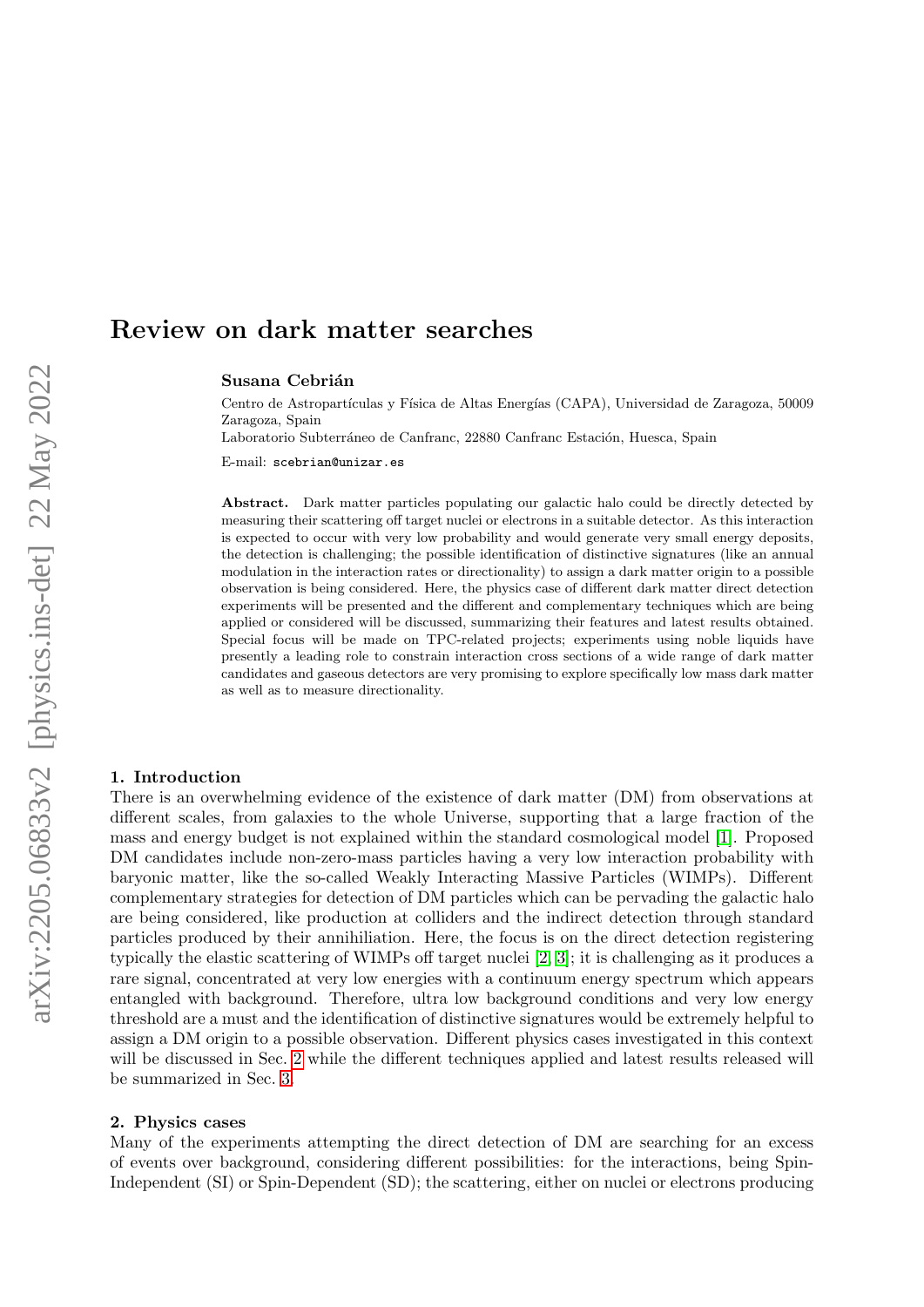# Review on dark matter searches

Susana Cebrián

Centro de Astropartículas y Física de Altas Energías (CAPA), Universidad de Zaragoza, 50009 Zaragoza, Spain

Laboratorio Subterráneo de Canfranc, 22880 Canfranc Estación, Huesca, Spain

E-mail: scebrian@unizar.es

Abstract. Dark matter particles populating our galactic halo could be directly detected by measuring their scattering off target nuclei or electrons in a suitable detector. As this interaction is expected to occur with very low probability and would generate very small energy deposits, the detection is challenging; the possible identification of distinctive signatures (like an annual modulation in the interaction rates or directionality) to assign a dark matter origin to a possible observation is being considered. Here, the physics case of different dark matter direct detection experiments will be presented and the different and complementary techniques which are being applied or considered will be discussed, summarizing their features and latest results obtained. Special focus will be made on TPC-related projects; experiments using noble liquids have presently a leading role to constrain interaction cross sections of a wide range of dark matter candidates and gaseous detectors are very promising to explore specifically low mass dark matter as well as to measure directionality.

# 1. Introduction

There is an overwhelming evidence of the existence of dark matter (DM) from observations at different scales, from galaxies to the whole Universe, supporting that a large fraction of the mass and energy budget is not explained within the standard cosmological model [\[1\]](#page-9-0). Proposed DM candidates include non-zero-mass particles having a very low interaction probability with baryonic matter, like the so-called Weakly Interacting Massive Particles (WIMPs). Different complementary strategies for detection of DM particles which can be pervading the galactic halo are being considered, like production at colliders and the indirect detection through standard particles produced by their annihiliation. Here, the focus is on the direct detection registering typically the elastic scattering of WIMPs off target nuclei [\[2,](#page-9-1) [3\]](#page-9-2); it is challenging as it produces a rare signal, concentrated at very low energies with a continuum energy spectrum which appears entangled with background. Therefore, ultra low background conditions and very low energy threshold are a must and the identification of distinctive signatures would be extremely helpful to assign a DM origin to a possible observation. Different physics cases investigated in this context will be discussed in Sec. [2](#page-0-0) while the different techniques applied and latest results released will be summarized in Sec. [3.](#page-2-0)

# <span id="page-0-0"></span>2. Physics cases

Many of the experiments attempting the direct detection of DM are searching for an excess of events over background, considering different possibilities: for the interactions, being Spin-Independent (SI) or Spin-Dependent (SD); the scattering, either on nuclei or electrons producing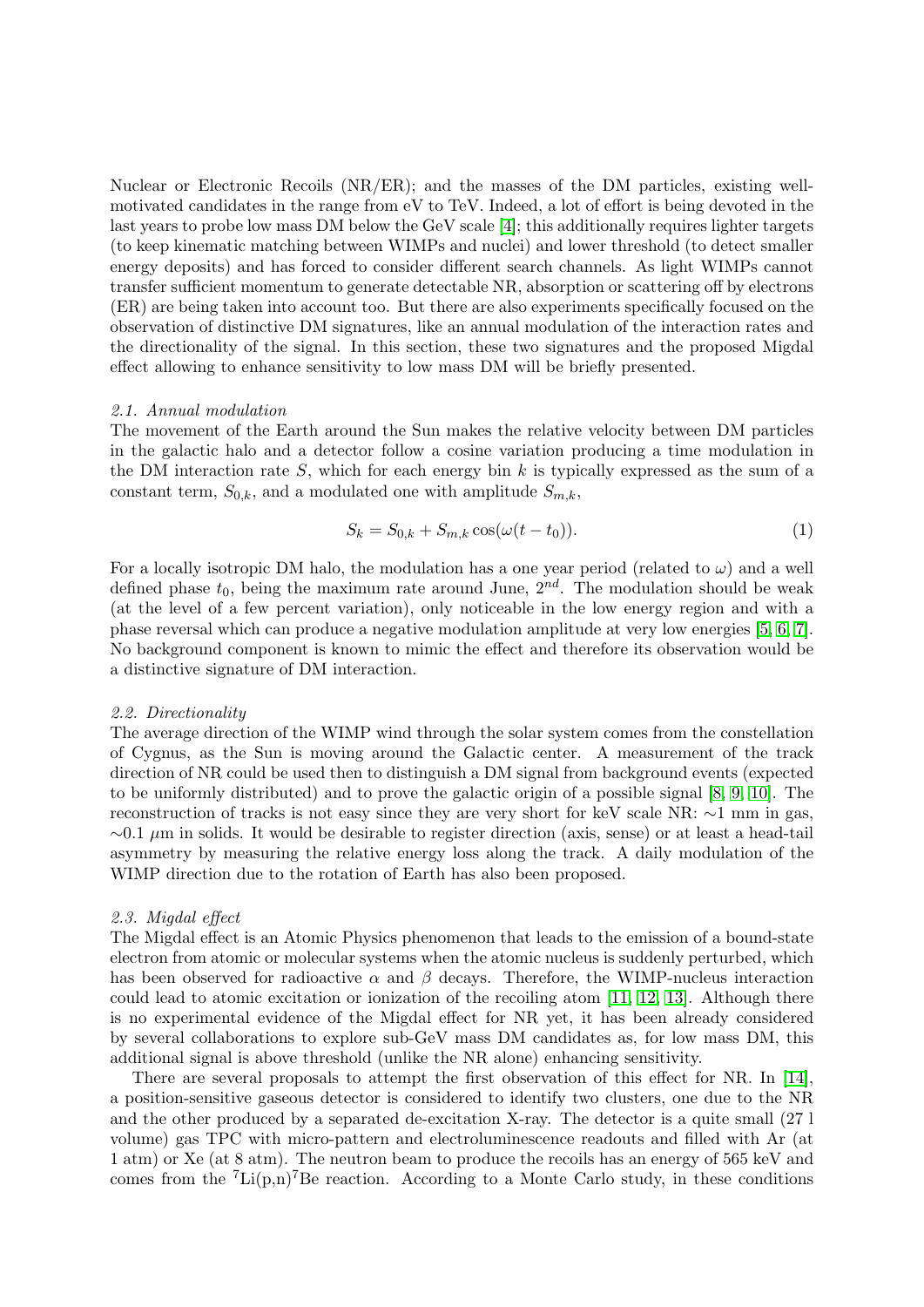Nuclear or Electronic Recoils (NR/ER); and the masses of the DM particles, existing wellmotivated candidates in the range from eV to TeV. Indeed, a lot of effort is being devoted in the last years to probe low mass DM below the GeV scale [\[4\]](#page-9-3); this additionally requires lighter targets (to keep kinematic matching between WIMPs and nuclei) and lower threshold (to detect smaller energy deposits) and has forced to consider different search channels. As light WIMPs cannot transfer sufficient momentum to generate detectable NR, absorption or scattering off by electrons (ER) are being taken into account too. But there are also experiments specifically focused on the observation of distinctive DM signatures, like an annual modulation of the interaction rates and the directionality of the signal. In this section, these two signatures and the proposed Migdal effect allowing to enhance sensitivity to low mass DM will be briefly presented.

## 2.1. Annual modulation

The movement of the Earth around the Sun makes the relative velocity between DM particles in the galactic halo and a detector follow a cosine variation producing a time modulation in the DM interaction rate  $S$ , which for each energy bin  $k$  is typically expressed as the sum of a constant term,  $S_{0,k}$ , and a modulated one with amplitude  $S_{m,k}$ ,

$$
S_k = S_{0,k} + S_{m,k} \cos(\omega(t - t_0)).
$$
\n(1)

For a locally isotropic DM halo, the modulation has a one year period (related to  $\omega$ ) and a well defined phase  $t_0$ , being the maximum rate around June,  $2^{nd}$ . The modulation should be weak (at the level of a few percent variation), only noticeable in the low energy region and with a phase reversal which can produce a negative modulation amplitude at very low energies [\[5,](#page-9-4) [6,](#page-9-5) [7\]](#page-9-6). No background component is known to mimic the effect and therefore its observation would be a distinctive signature of DM interaction.

#### 2.2. Directionality

The average direction of the WIMP wind through the solar system comes from the constellation of Cygnus, as the Sun is moving around the Galactic center. A measurement of the track direction of NR could be used then to distinguish a DM signal from background events (expected to be uniformly distributed) and to prove the galactic origin of a possible signal [\[8,](#page-9-7) [9,](#page-9-8) [10\]](#page-9-9). The reconstruction of tracks is not easy since they are very short for keV scale NR: ∼1 mm in gas,  $\sim$ 0.1 µm in solids. It would be desirable to register direction (axis, sense) or at least a head-tail asymmetry by measuring the relative energy loss along the track. A daily modulation of the WIMP direction due to the rotation of Earth has also been proposed.

#### 2.3. Migdal effect

The Migdal effect is an Atomic Physics phenomenon that leads to the emission of a bound-state electron from atomic or molecular systems when the atomic nucleus is suddenly perturbed, which has been observed for radioactive  $\alpha$  and  $\beta$  decays. Therefore, the WIMP-nucleus interaction could lead to atomic excitation or ionization of the recoiling atom [\[11,](#page-9-10) [12,](#page-9-11) [13\]](#page-9-12). Although there is no experimental evidence of the Migdal effect for NR yet, it has been already considered by several collaborations to explore sub-GeV mass DM candidates as, for low mass DM, this additional signal is above threshold (unlike the NR alone) enhancing sensitivity.

There are several proposals to attempt the first observation of this effect for NR. In [\[14\]](#page-9-13), a position-sensitive gaseous detector is considered to identify two clusters, one due to the NR and the other produced by a separated de-excitation X-ray. The detector is a quite small (27 l volume) gas TPC with micro-pattern and electroluminescence readouts and filled with Ar (at 1 atm) or Xe (at 8 atm). The neutron beam to produce the recoils has an energy of 565 keV and comes from the  ${}^{7}$ Li(p,n)<sup>7</sup>Be reaction. According to a Monte Carlo study, in these conditions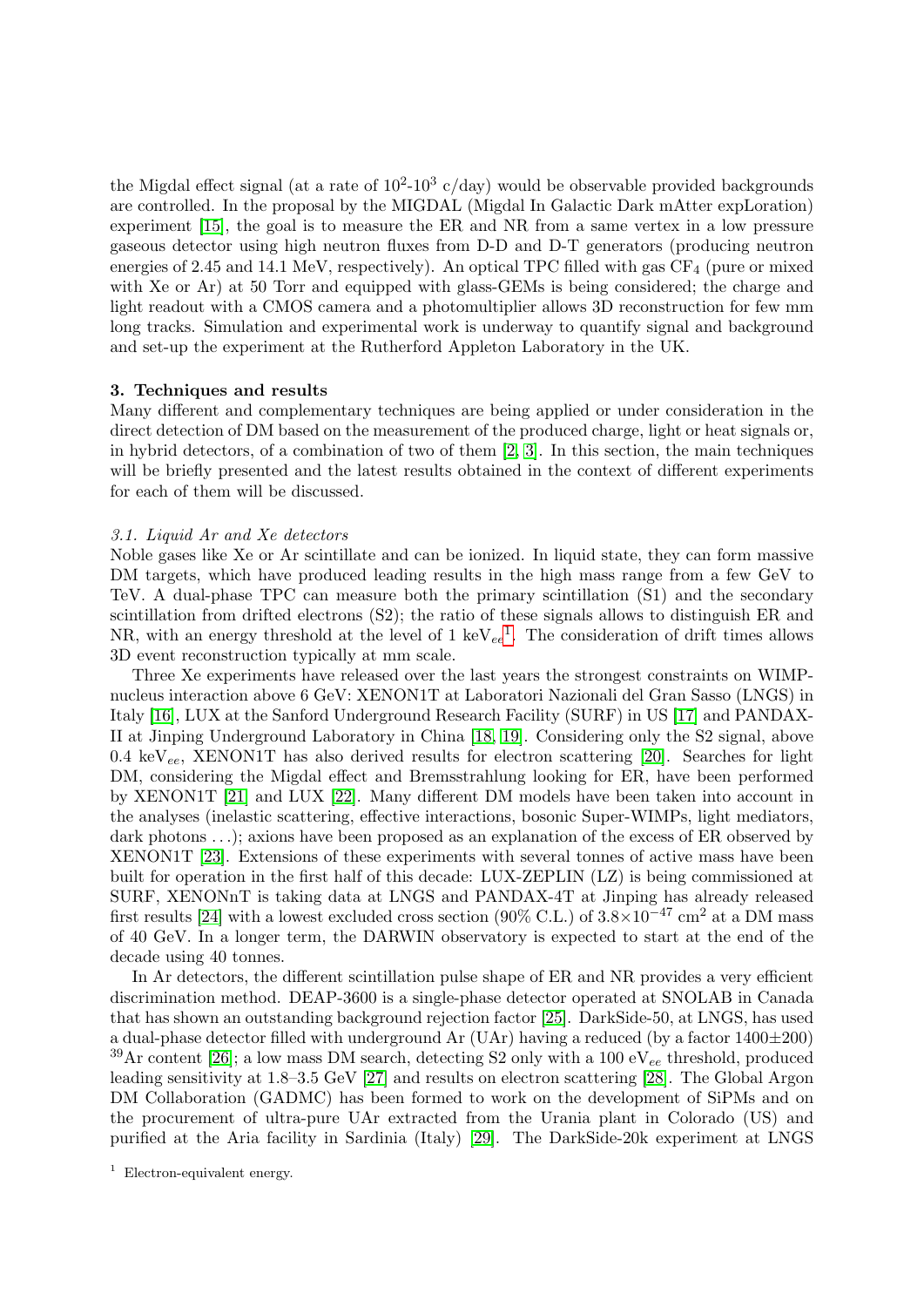the Migdal effect signal (at a rate of  $10^2$ -10<sup>3</sup> c/day) would be observable provided backgrounds are controlled. In the proposal by the MIGDAL (Migdal In Galactic Dark mAtter expLoration) experiment [\[15\]](#page-9-14), the goal is to measure the ER and NR from a same vertex in a low pressure gaseous detector using high neutron fluxes from D-D and D-T generators (producing neutron energies of 2.45 and 14.1 MeV, respectively). An optical TPC filled with gas  $CF<sub>4</sub>$  (pure or mixed with Xe or Ar) at 50 Torr and equipped with glass-GEMs is being considered; the charge and light readout with a CMOS camera and a photomultiplier allows 3D reconstruction for few mm long tracks. Simulation and experimental work is underway to quantify signal and background and set-up the experiment at the Rutherford Appleton Laboratory in the UK.

# <span id="page-2-0"></span>3. Techniques and results

Many different and complementary techniques are being applied or under consideration in the direct detection of DM based on the measurement of the produced charge, light or heat signals or, in hybrid detectors, of a combination of two of them [\[2,](#page-9-1) [3\]](#page-9-2). In this section, the main techniques will be briefly presented and the latest results obtained in the context of different experiments for each of them will be discussed.

# 3.1. Liquid Ar and Xe detectors

Noble gases like Xe or Ar scintillate and can be ionized. In liquid state, they can form massive DM targets, which have produced leading results in the high mass range from a few GeV to TeV. A dual-phase TPC can measure both the primary scintillation (S1) and the secondary scintillation from drifted electrons (S2); the ratio of these signals allows to distinguish ER and NR, with an energy threshold at the level of [1](#page-2-1)  $keV_{ee}^1$ . The consideration of drift times allows 3D event reconstruction typically at mm scale.

Three Xe experiments have released over the last years the strongest constraints on WIMPnucleus interaction above 6 GeV: XENON1T at Laboratori Nazionali del Gran Sasso (LNGS) in Italy [\[16\]](#page-9-15), LUX at the Sanford Underground Research Facility (SURF) in US [\[17\]](#page-9-16) and PANDAX-II at Jinping Underground Laboratory in China [\[18,](#page-9-17) [19\]](#page-9-18). Considering only the S2 signal, above 0.4 keV<sub>ee</sub>, XENON1T has also derived results for electron scattering [\[20\]](#page-9-19). Searches for light DM, considering the Migdal effect and Bremsstrahlung looking for ER, have been performed by XENON1T [\[21\]](#page-9-20) and LUX [\[22\]](#page-9-21). Many different DM models have been taken into account in the analyses (inelastic scattering, effective interactions, bosonic Super-WIMPs, light mediators, dark photons ...); axions have been proposed as an explanation of the excess of ER observed by XENON1T [\[23\]](#page-9-22). Extensions of these experiments with several tonnes of active mass have been built for operation in the first half of this decade: LUX-ZEPLIN (LZ) is being commissioned at SURF, XENONnT is taking data at LNGS and PANDAX-4T at Jinping has already released first results [\[24\]](#page-9-23) with a lowest excluded cross section  $(90\% \text{ C.L.})$  of  $3.8\times10^{-47} \text{ cm}^2$  at a DM mass of 40 GeV. In a longer term, the DARWIN observatory is expected to start at the end of the decade using 40 tonnes.

In Ar detectors, the different scintillation pulse shape of ER and NR provides a very efficient discrimination method. DEAP-3600 is a single-phase detector operated at SNOLAB in Canada that has shown an outstanding background rejection factor [\[25\]](#page-9-24). DarkSide-50, at LNGS, has used a dual-phase detector filled with underground Ar (UAr) having a reduced (by a factor  $1400\pm200$ )  $39\text{Ar}$  content [\[26\]](#page-9-25); a low mass DM search, detecting S2 only with a 100 eV<sub>ee</sub> threshold, produced leading sensitivity at 1.8–3.5 GeV [\[27\]](#page-9-26) and results on electron scattering [\[28\]](#page-9-27). The Global Argon DM Collaboration (GADMC) has been formed to work on the development of SiPMs and on the procurement of ultra-pure UAr extracted from the Urania plant in Colorado (US) and purified at the Aria facility in Sardinia (Italy) [\[29\]](#page-9-28). The DarkSide-20k experiment at LNGS

<span id="page-2-1"></span><sup>&</sup>lt;sup>1</sup> Electron-equivalent energy.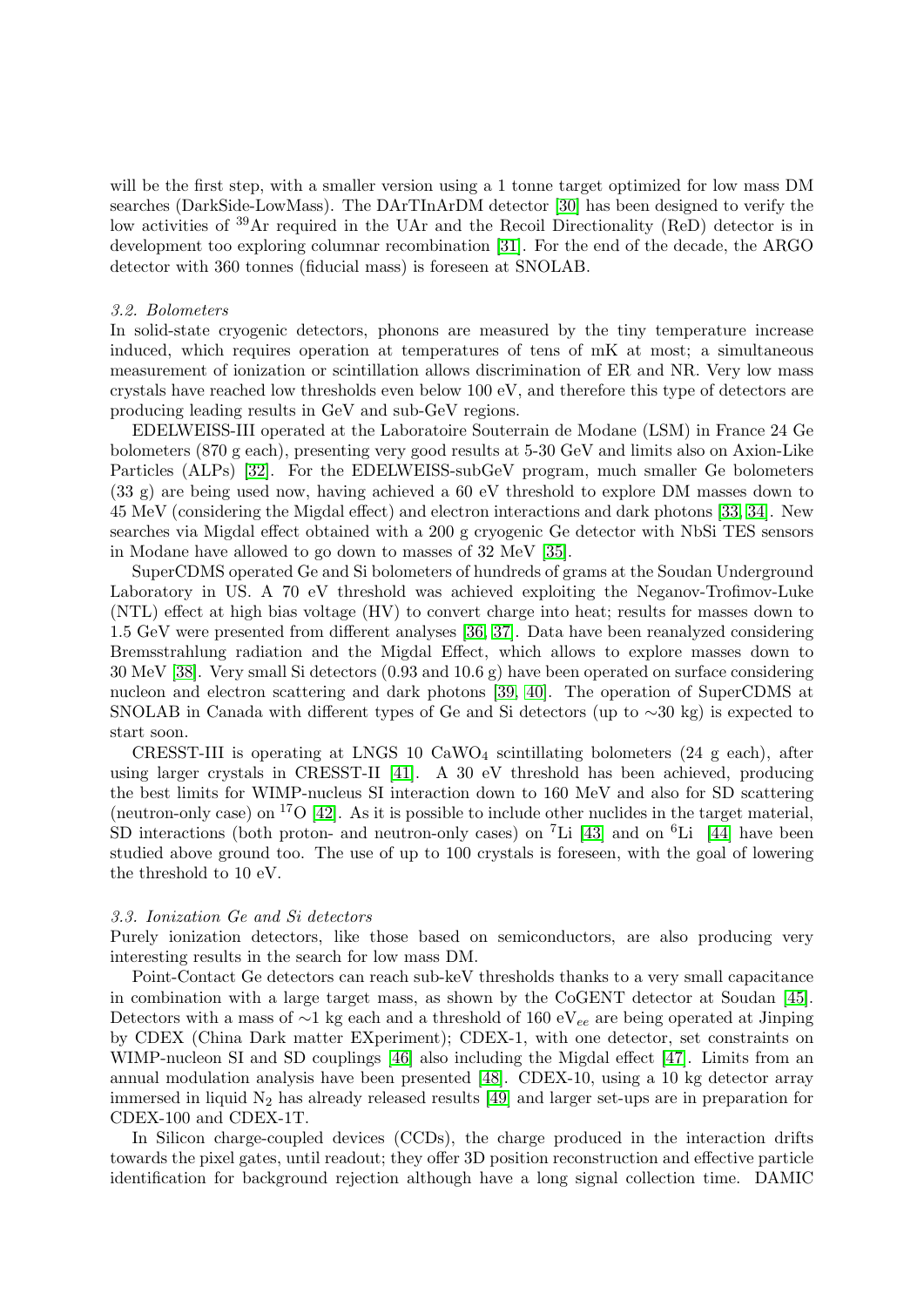will be the first step, with a smaller version using a 1 tonne target optimized for low mass DM searches (DarkSide-LowMass). The DArTInArDM detector [\[30\]](#page-10-0) has been designed to verify the low activities of <sup>39</sup>Ar required in the UAr and the Recoil Directionality (ReD) detector is in development too exploring columnar recombination [\[31\]](#page-10-1). For the end of the decade, the ARGO detector with 360 tonnes (fiducial mass) is foreseen at SNOLAB.

#### 3.2. Bolometers

In solid-state cryogenic detectors, phonons are measured by the tiny temperature increase induced, which requires operation at temperatures of tens of mK at most; a simultaneous measurement of ionization or scintillation allows discrimination of ER and NR. Very low mass crystals have reached low thresholds even below 100 eV, and therefore this type of detectors are producing leading results in GeV and sub-GeV regions.

EDELWEISS-III operated at the Laboratoire Souterrain de Modane (LSM) in France 24 Ge bolometers (870 g each), presenting very good results at 5-30 GeV and limits also on Axion-Like Particles (ALPs) [\[32\]](#page-10-2). For the EDELWEISS-subGeV program, much smaller Ge bolometers (33 g) are being used now, having achieved a 60 eV threshold to explore DM masses down to 45 MeV (considering the Migdal effect) and electron interactions and dark photons [\[33,](#page-10-3) [34\]](#page-10-4). New searches via Migdal effect obtained with a 200 g cryogenic Ge detector with NbSi TES sensors in Modane have allowed to go down to masses of 32 MeV [\[35\]](#page-10-5).

SuperCDMS operated Ge and Si bolometers of hundreds of grams at the Soudan Underground Laboratory in US. A 70 eV threshold was achieved exploiting the Neganov-Trofimov-Luke (NTL) effect at high bias voltage (HV) to convert charge into heat; results for masses down to 1.5 GeV were presented from different analyses [\[36,](#page-10-6) [37\]](#page-10-7). Data have been reanalyzed considering Bremsstrahlung radiation and the Migdal Effect, which allows to explore masses down to 30 MeV [\[38\]](#page-10-8). Very small Si detectors (0.93 and 10.6 g) have been operated on surface considering nucleon and electron scattering and dark photons [\[39,](#page-10-9) [40\]](#page-10-10). The operation of SuperCDMS at SNOLAB in Canada with different types of Ge and Si detectors (up to ∼30 kg) is expected to start soon.

CRESST-III is operating at LNGS 10  $CaWO<sub>4</sub>$  scintillating bolometers (24 g each), after using larger crystals in CRESST-II [\[41\]](#page-10-11). A 30 eV threshold has been achieved, producing the best limits for WIMP-nucleus SI interaction down to 160 MeV and also for SD scattering (neutron-only case) on  $^{17}O$  [\[42\]](#page-10-12). As it is possible to include other nuclides in the target material, SD interactions (both proton- and neutron-only cases) on <sup>7</sup>Li [\[43\]](#page-10-13) and on <sup>6</sup>Li [\[44\]](#page-10-14) have been studied above ground too. The use of up to 100 crystals is foreseen, with the goal of lowering the threshold to 10 eV.

#### 3.3. Ionization Ge and Si detectors

Purely ionization detectors, like those based on semiconductors, are also producing very interesting results in the search for low mass DM.

Point-Contact Ge detectors can reach sub-keV thresholds thanks to a very small capacitance in combination with a large target mass, as shown by the CoGENT detector at Soudan [\[45\]](#page-10-15). Detectors with a mass of ∼1 kg each and a threshold of 160 eV<sub>ee</sub> are being operated at Jinping by CDEX (China Dark matter EXperiment); CDEX-1, with one detector, set constraints on WIMP-nucleon SI and SD couplings [\[46\]](#page-10-16) also including the Migdal effect [\[47\]](#page-10-17). Limits from an annual modulation analysis have been presented [\[48\]](#page-10-18). CDEX-10, using a 10 kg detector array immersed in liquid  $N_2$  has already released results [\[49\]](#page-10-19) and larger set-ups are in preparation for CDEX-100 and CDEX-1T.

In Silicon charge-coupled devices (CCDs), the charge produced in the interaction drifts towards the pixel gates, until readout; they offer 3D position reconstruction and effective particle identification for background rejection although have a long signal collection time. DAMIC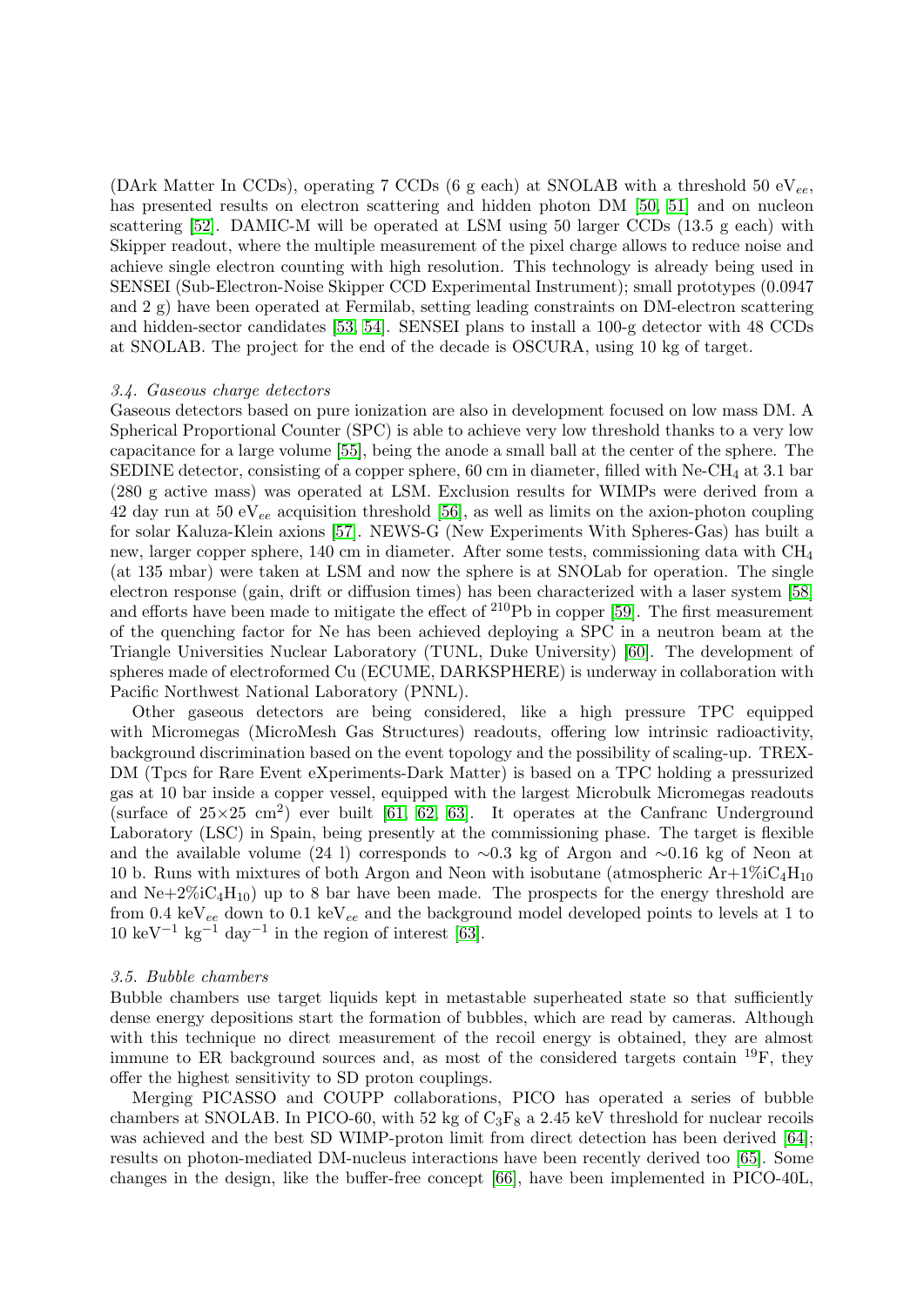(DArk Matter In CCDs), operating 7 CCDs (6 g each) at SNOLAB with a threshold 50 eV $_{ee}$ , has presented results on electron scattering and hidden photon DM [\[50,](#page-10-20) [51\]](#page-10-21) and on nucleon scattering [\[52\]](#page-10-22). DAMIC-M will be operated at LSM using 50 larger CCDs (13.5 g each) with Skipper readout, where the multiple measurement of the pixel charge allows to reduce noise and achieve single electron counting with high resolution. This technology is already being used in SENSEI (Sub-Electron-Noise Skipper CCD Experimental Instrument); small prototypes (0.0947 and 2 g) have been operated at Fermilab, setting leading constraints on DM-electron scattering and hidden-sector candidates [\[53,](#page-10-23) [54\]](#page-10-24). SENSEI plans to install a 100-g detector with 48 CCDs at SNOLAB. The project for the end of the decade is OSCURA, using 10 kg of target.

#### 3.4. Gaseous charge detectors

Gaseous detectors based on pure ionization are also in development focused on low mass DM. A Spherical Proportional Counter (SPC) is able to achieve very low threshold thanks to a very low capacitance for a large volume [\[55\]](#page-10-25), being the anode a small ball at the center of the sphere. The SEDINE detector, consisting of a copper sphere, 60 cm in diameter, filled with Ne-CH<sub>4</sub> at 3.1 bar (280 g active mass) was operated at LSM. Exclusion results for WIMPs were derived from a 42 day run at 50  $eV_{ee}$  acquisition threshold [\[56\]](#page-10-26), as well as limits on the axion-photon coupling for solar Kaluza-Klein axions [\[57\]](#page-10-27). NEWS-G (New Experiments With Spheres-Gas) has built a new, larger copper sphere, 140 cm in diameter. After some tests, commissioning data with  $CH<sub>4</sub>$ (at 135 mbar) were taken at LSM and now the sphere is at SNOLab for operation. The single electron response (gain, drift or diffusion times) has been characterized with a laser system [\[58\]](#page-10-28) and efforts have been made to mitigate the effect of <sup>210</sup>Pb in copper [\[59\]](#page-10-29). The first measurement of the quenching factor for Ne has been achieved deploying a SPC in a neutron beam at the Triangle Universities Nuclear Laboratory (TUNL, Duke University) [\[60\]](#page-10-30). The development of spheres made of electroformed Cu (ECUME, DARKSPHERE) is underway in collaboration with Pacific Northwest National Laboratory (PNNL).

Other gaseous detectors are being considered, like a high pressure TPC equipped with Micromegas (MicroMesh Gas Structures) readouts, offering low intrinsic radioactivity, background discrimination based on the event topology and the possibility of scaling-up. TREX-DM (Tpcs for Rare Event eXperiments-Dark Matter) is based on a TPC holding a pressurized gas at 10 bar inside a copper vessel, equipped with the largest Microbulk Micromegas readouts (surface of  $25\times25$  cm<sup>2</sup>) ever built [\[61,](#page-10-31) [62,](#page-10-32) [63\]](#page-10-33). It operates at the Canfranc Underground Laboratory (LSC) in Spain, being presently at the commissioning phase. The target is flexible and the available volume (24 l) corresponds to ∼0.3 kg of Argon and ∼0.16 kg of Neon at 10 b. Runs with mixtures of both Argon and Neon with isobutane (atmospheric  $Ar+1\%iC_4H_{10}$ and  $Ne+2\%iC_4H_{10}$  up to 8 bar have been made. The prospects for the energy threshold are from 0.4 keV<sub>ee</sub> down to 0.1 keV<sub>ee</sub> and the background model developed points to levels at 1 to  $10 \text{ keV}^{-1} \text{ kg}^{-1} \text{ day}^{-1}$  in the region of interest [\[63\]](#page-10-33).

# 3.5. Bubble chambers

Bubble chambers use target liquids kept in metastable superheated state so that sufficiently dense energy depositions start the formation of bubbles, which are read by cameras. Although with this technique no direct measurement of the recoil energy is obtained, they are almost immune to ER background sources and, as most of the considered targets contain <sup>19</sup>F, they offer the highest sensitivity to SD proton couplings.

Merging PICASSO and COUPP collaborations, PICO has operated a series of bubble chambers at SNOLAB. In PICO-60, with 52 kg of  $C_3F_8$  a 2.45 keV threshold for nuclear recoils was achieved and the best SD WIMP-proton limit from direct detection has been derived [\[64\]](#page-10-34); results on photon-mediated DM-nucleus interactions have been recently derived too [\[65\]](#page-10-35). Some changes in the design, like the buffer-free concept [\[66\]](#page-10-36), have been implemented in PICO-40L,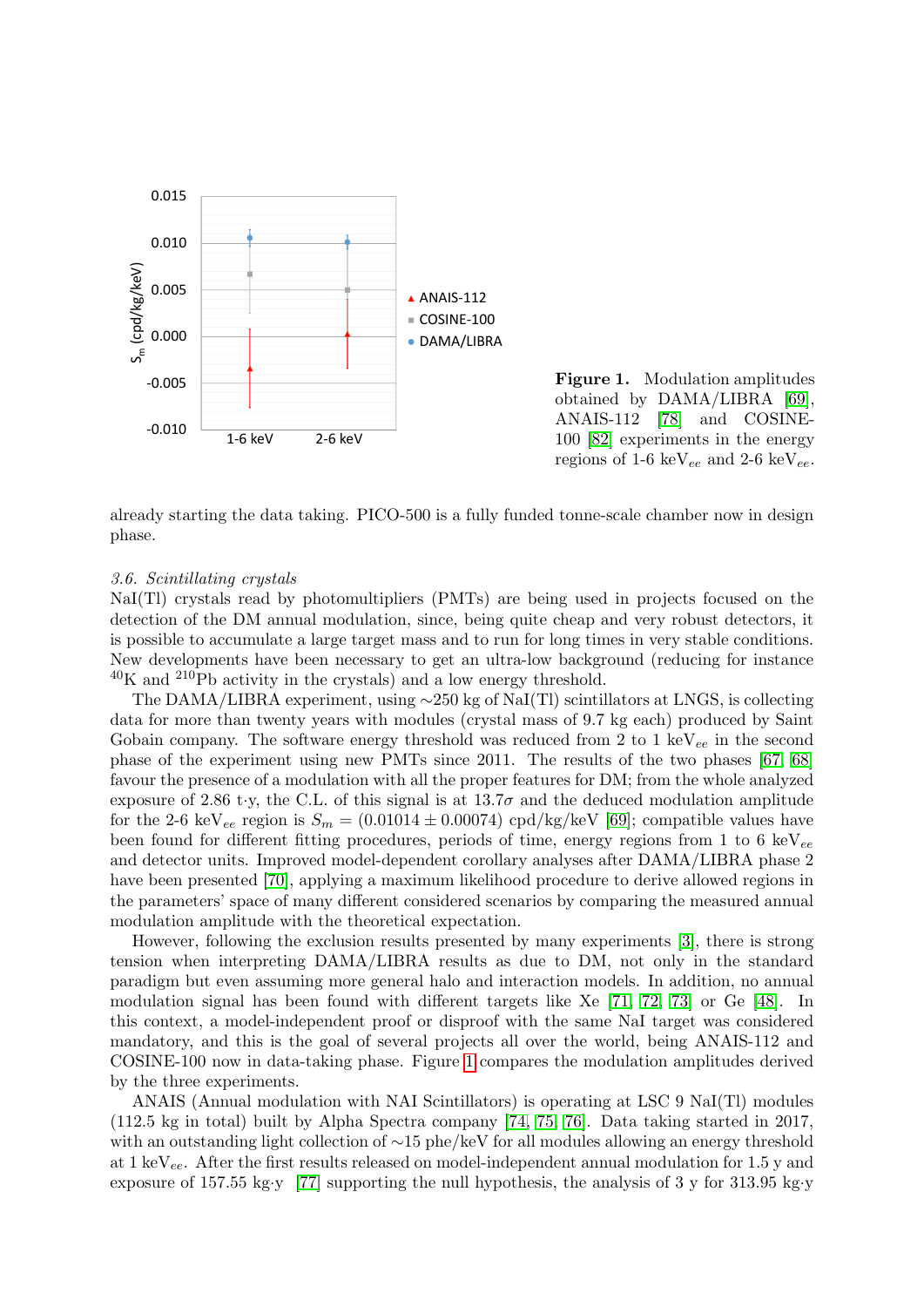

<span id="page-5-0"></span>Figure 1. Modulation amplitudes obtained by DAMA/LIBRA [\[69\]](#page-10-37), ANAIS-112 [\[78\]](#page-10-38) and COSINEregions of 1-6 keV $_{ee}$  and 2-6 keV $_{ee}$ .

already starting the data taking. PICO-500 is a fully funded tonne-scale chamber now in design phase.

## 3.6. Scintillating crystals

NaI(Tl) crystals read by photomultipliers (PMTs) are being used in projects focused on the detection of the DM annual modulation, since, being quite cheap and very robust detectors, it is possible to accumulate a large target mass and to run for long times in very stable conditions. New developments have been necessary to get an ultra-low background (reducing for instance  $^{40}$ K and  $^{210}$ Pb activity in the crystals) and a low energy threshold.

The DAMA/LIBRA experiment, using ∼250 kg of NaI(Tl) scintillators at LNGS, is collecting data for more than twenty years with modules (crystal mass of 9.7 kg each) produced by Saint Gobain company. The software energy threshold was reduced from 2 to 1 keV $_{ee}$  in the second phase of the experiment using new PMTs since 2011. The results of the two phases [\[67,](#page-10-40) [68\]](#page-10-41) favour the presence of a modulation with all the proper features for DM; from the whole analyzed exposure of 2.86 t·y, the C.L. of this signal is at 13.7 $\sigma$  and the deduced modulation amplitude for the 2-6 keV<sub>ee</sub> region is  $S_m = (0.01014 \pm 0.00074)$  cpd/kg/keV [\[69\]](#page-10-37); compatible values have been found for different fitting procedures, periods of time, energy regions from 1 to 6 keV $_{ee}$ and detector units. Improved model-dependent corollary analyses after DAMA/LIBRA phase 2 have been presented [\[70\]](#page-10-42), applying a maximum likelihood procedure to derive allowed regions in the parameters' space of many different considered scenarios by comparing the measured annual modulation amplitude with the theoretical expectation.

However, following the exclusion results presented by many experiments [\[3\]](#page-9-2), there is strong tension when interpreting DAMA/LIBRA results as due to DM, not only in the standard paradigm but even assuming more general halo and interaction models. In addition, no annual modulation signal has been found with different targets like Xe [\[71,](#page-10-43) [72,](#page-10-44) [73\]](#page-10-45) or Ge [\[48\]](#page-10-18). In this context, a model-independent proof or disproof with the same NaI target was considered mandatory, and this is the goal of several projects all over the world, being ANAIS-112 and COSINE-100 now in data-taking phase. Figure [1](#page-5-0) compares the modulation amplitudes derived by the three experiments.

ANAIS (Annual modulation with NAI Scintillators) is operating at LSC 9 NaI(Tl) modules (112.5 kg in total) built by Alpha Spectra company [\[74,](#page-10-46) [75,](#page-10-47) [76\]](#page-10-48). Data taking started in 2017, with an outstanding light collection of ∼15 phe/keV for all modules allowing an energy threshold at 1 keV<sub>ee</sub>. After the first results released on model-independent annual modulation for 1.5 y and exposure of 157.55 kg·y [\[77\]](#page-10-49) supporting the null hypothesis, the analysis of 3 y for 313.95 kg·y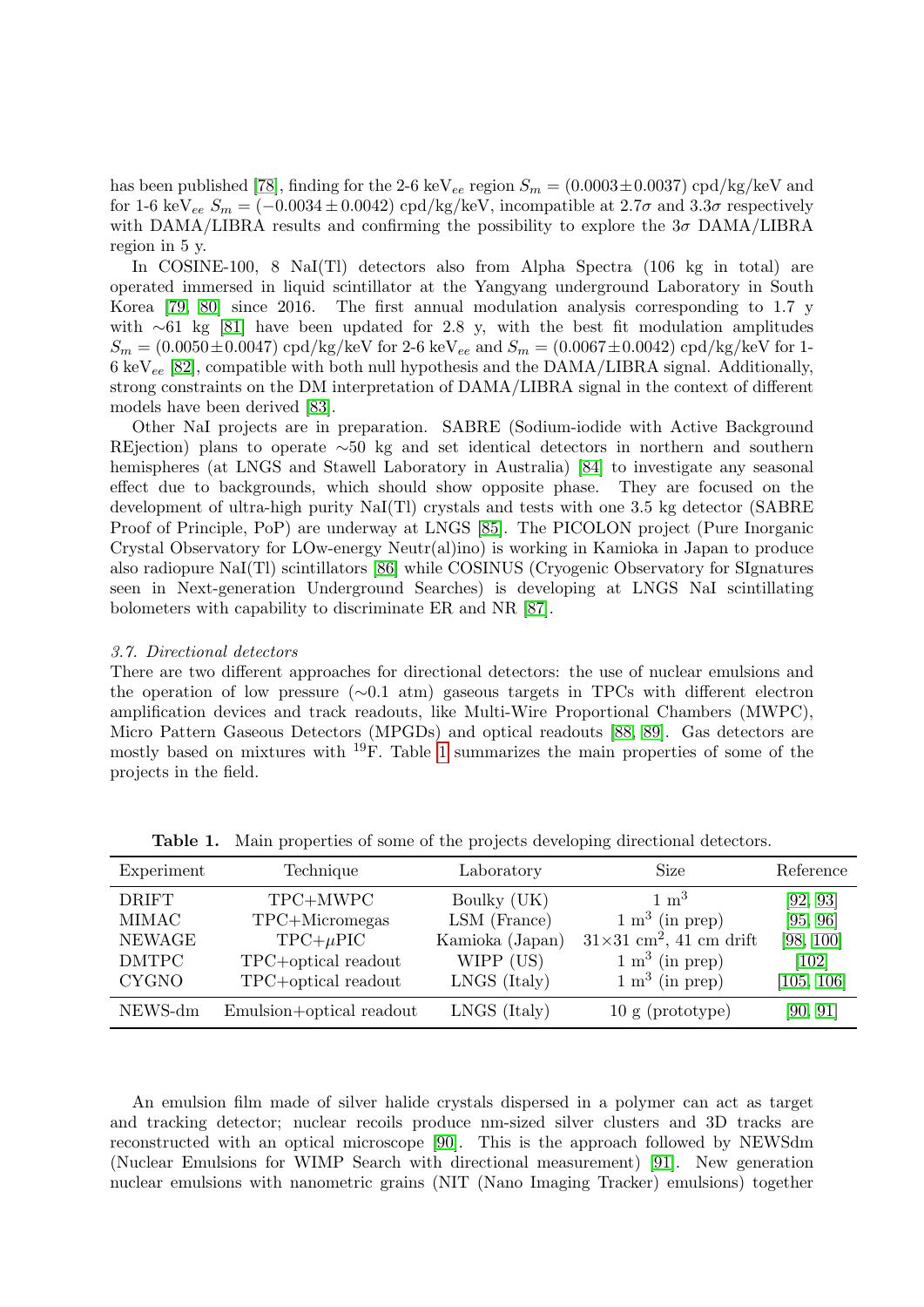has been published [\[78\]](#page-10-38), finding for the 2-6 keV<sub>ee</sub> region  $S_m = (0.0003 \pm 0.0037)$  cpd/kg/keV and for 1-6 keV<sub>ee</sub>  $S_m = (-0.0034 \pm 0.0042)$  cpd/kg/keV, incompatible at  $2.7\sigma$  and  $3.3\sigma$  respectively with DAMA/LIBRA results and confirming the possibility to explore the  $3\sigma$  DAMA/LIBRA region in 5 y.

In COSINE-100, 8 NaI(Tl) detectors also from Alpha Spectra (106 kg in total) are operated immersed in liquid scintillator at the Yangyang underground Laboratory in South Korea [\[79,](#page-10-50) [80\]](#page-10-51) since 2016. The first annual modulation analysis corresponding to 1.7 y with ∼61 kg [\[81\]](#page-10-52) have been updated for 2.8 y, with the best fit modulation amplitudes  $S_m = (0.0050 \pm 0.0047) \text{ cpd/kg/keV}$  for 2-6 keV<sub>ee</sub> and  $S_m = (0.0067 \pm 0.0042) \text{ cpd/kg/keV}$  for 1- $6 \text{ keV}_{ee}$  [\[82\]](#page-10-39), compatible with both null hypothesis and the DAMA/LIBRA signal. Additionally, strong constraints on the DM interpretation of DAMA/LIBRA signal in the context of different models have been derived [\[83\]](#page-10-53).

Other NaI projects are in preparation. SABRE (Sodium-iodide with Active Background REjection) plans to operate ∼50 kg and set identical detectors in northern and southern hemispheres (at LNGS and Stawell Laboratory in Australia) [\[84\]](#page-10-54) to investigate any seasonal effect due to backgrounds, which should show opposite phase. They are focused on the development of ultra-high purity NaI(Tl) crystals and tests with one 3.5 kg detector (SABRE Proof of Principle, PoP) are underway at LNGS [\[85\]](#page-10-55). The PICOLON project (Pure Inorganic Crystal Observatory for LOw-energy Neutr(al)ino) is working in Kamioka in Japan to produce also radiopure NaI(Tl) scintillators [\[86\]](#page-11-0) while COSINUS (Cryogenic Observatory for SIgnatures seen in Next-generation Underground Searches) is developing at LNGS NaI scintillating bolometers with capability to discriminate ER and NR [\[87\]](#page-11-1).

## 3.7. Directional detectors

There are two different approaches for directional detectors: the use of nuclear emulsions and the operation of low pressure (∼0.1 atm) gaseous targets in TPCs with different electron amplification devices and track readouts, like Multi-Wire Proportional Chambers (MWPC), Micro Pattern Gaseous Detectors (MPGDs) and optical readouts [\[88,](#page-11-2) [89\]](#page-11-3). Gas detectors are mostly based on mixtures with  $^{19}$ F. Table [1](#page-6-0) summarizes the main properties of some of the projects in the field.

| Experiment    | Technique                | Laboratory      | Size                                       | Reference          |
|---------------|--------------------------|-----------------|--------------------------------------------|--------------------|
| <b>DRIFT</b>  | TPC+MWPC                 | Boulky (UK)     | $1 \text{ m}^3$                            | [92, 93]           |
| MIMAC         | $TPC+Micromegas$         | LSM (France)    | $1 \text{ m}^3$ (in prep)                  | [95, 96]           |
| <b>NEWAGE</b> | $TPC+\mu PIC$            | Kamioka (Japan) | $31\times31$ cm <sup>2</sup> , 41 cm drift | [98, 100]          |
| <b>DMTPC</b>  | TPC+optical readout      | WIPP (US)       | $1 \text{ m}^3$ (in prep)                  | $\left[102\right]$ |
| <b>CYGNO</b>  | TPC+optical readout      | LNGS (Italy)    | $1 \text{ m}^3$ (in prep)                  | [105, 106]         |
| NEWS-dm       | Emulsion+optical readout | LNGS (Italy)    | $10 \text{ g}$ (prototype)                 | [90, 91]           |

<span id="page-6-0"></span>Table 1. Main properties of some of the projects developing directional detectors.

An emulsion film made of silver halide crystals dispersed in a polymer can act as target and tracking detector; nuclear recoils produce nm-sized silver clusters and 3D tracks are reconstructed with an optical microscope [\[90\]](#page-11-13). This is the approach followed by NEWSdm (Nuclear Emulsions for WIMP Search with directional measurement) [\[91\]](#page-11-14). New generation nuclear emulsions with nanometric grains (NIT (Nano Imaging Tracker) emulsions) together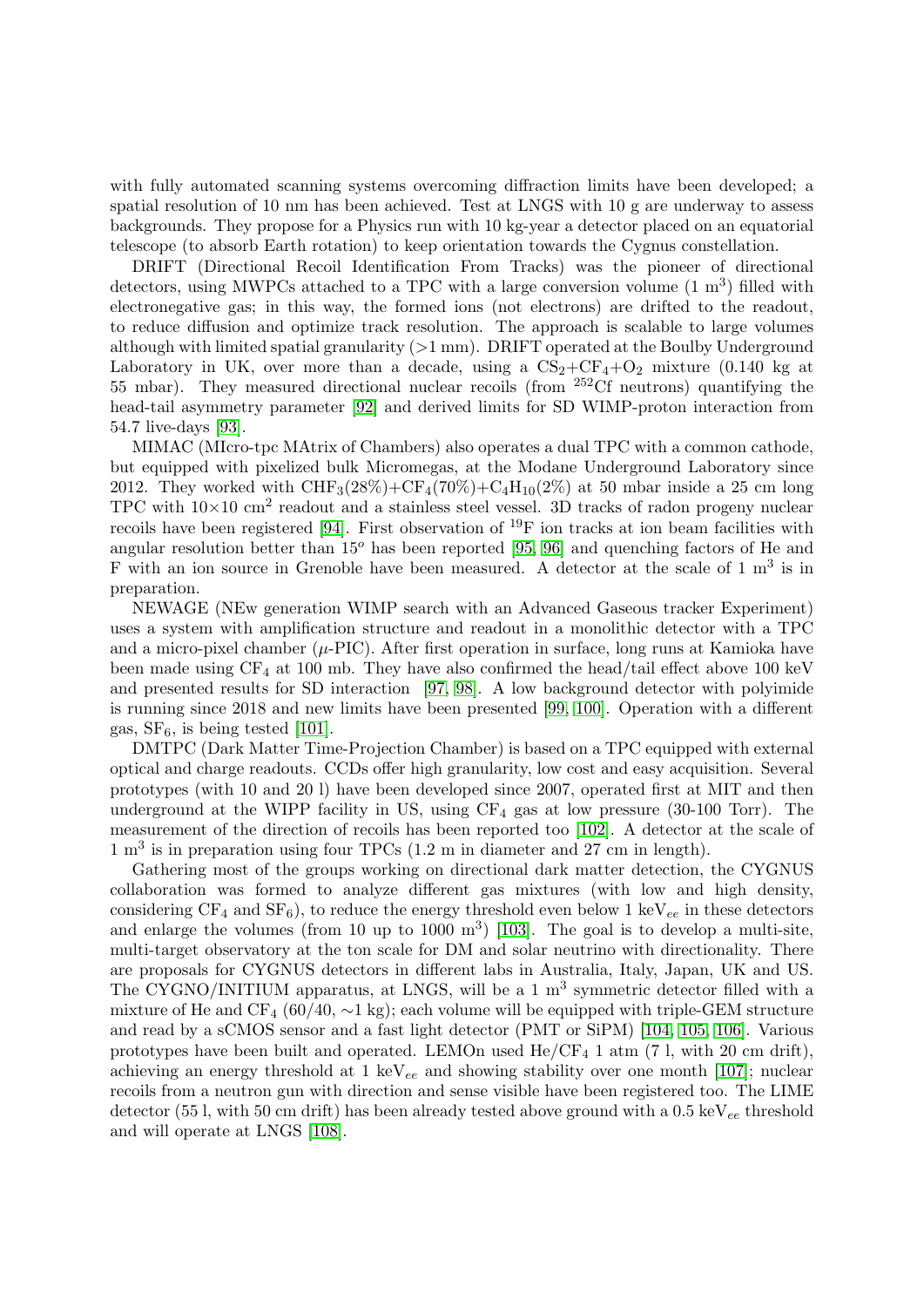with fully automated scanning systems overcoming diffraction limits have been developed; a spatial resolution of 10 nm has been achieved. Test at LNGS with 10 g are underway to assess backgrounds. They propose for a Physics run with 10 kg-year a detector placed on an equatorial telescope (to absorb Earth rotation) to keep orientation towards the Cygnus constellation.

DRIFT (Directional Recoil Identification From Tracks) was the pioneer of directional detectors, using MWPCs attached to a TPC with a large conversion volume  $(1 \text{ m}^3)$  filled with electronegative gas; in this way, the formed ions (not electrons) are drifted to the readout, to reduce diffusion and optimize track resolution. The approach is scalable to large volumes although with limited spatial granularity (>1 mm). DRIFT operated at the Boulby Underground Laboratory in UK, over more than a decade, using a  $CS_2+CF_4+O_2$  mixture (0.140 kg at 55 mbar). They measured directional nuclear recoils (from <sup>252</sup>Cf neutrons) quantifying the head-tail asymmetry parameter [\[92\]](#page-11-4) and derived limits for SD WIMP-proton interaction from 54.7 live-days [\[93\]](#page-11-5).

MIMAC (MIcro-tpc MAtrix of Chambers) also operates a dual TPC with a common cathode, but equipped with pixelized bulk Micromegas, at the Modane Underground Laboratory since 2012. They worked with  $CHF_3(28\%) + CF_4(70\%) + C_4H_{10}(2\%)$  at 50 mbar inside a 25 cm long TPC with  $10\times10$  cm<sup>2</sup> readout and a stainless steel vessel. 3D tracks of radon progeny nuclear recoils have been registered [\[94\]](#page-11-15). First observation of  $^{19}$ F ion tracks at ion beam facilities with angular resolution better than  $15^{\circ}$  has been reported [\[95,](#page-11-6) [96\]](#page-11-7) and quenching factors of He and F with an ion source in Grenoble have been measured. A detector at the scale of 1 m<sup>3</sup> is in preparation.

NEWAGE (NEw generation WIMP search with an Advanced Gaseous tracker Experiment) uses a system with amplification structure and readout in a monolithic detector with a TPC and a micro-pixel chamber  $(\mu$ -PIC). After first operation in surface, long runs at Kamioka have been made using  $CF_4$  at 100 mb. They have also confirmed the head/tail effect above 100 keV and presented results for SD interaction [\[97,](#page-11-16) [98\]](#page-11-8). A low background detector with polyimide is running since 2018 and new limits have been presented [\[99,](#page-11-17) [100\]](#page-11-9). Operation with a different gas,  $SF_6$ , is being tested [\[101\]](#page-11-18).

DMTPC (Dark Matter Time-Projection Chamber) is based on a TPC equipped with external optical and charge readouts. CCDs offer high granularity, low cost and easy acquisition. Several prototypes (with 10 and 20 l) have been developed since 2007, operated first at MIT and then underground at the WIPP facility in US, using  $CF_4$  gas at low pressure (30-100 Torr). The measurement of the direction of recoils has been reported too [\[102\]](#page-11-10). A detector at the scale of 1 m<sup>3</sup> is in preparation using four TPCs (1.2 m in diameter and 27 cm in length).

Gathering most of the groups working on directional dark matter detection, the CYGNUS collaboration was formed to analyze different gas mixtures (with low and high density, considering  $CF_4$  and  $SF_6$ ), to reduce the energy threshold even below 1 keV<sub>ee</sub> in these detectors and enlarge the volumes (from 10 up to 1000  $\mathrm{m}^3$ ) [\[103\]](#page-11-19). The goal is to develop a multi-site, multi-target observatory at the ton scale for DM and solar neutrino with directionality. There are proposals for CYGNUS detectors in different labs in Australia, Italy, Japan, UK and US. The CYGNO/INITIUM apparatus, at LNGS, will be a  $1 \text{ m}^3$  symmetric detector filled with a mixture of He and CF<sub>4</sub> (60/40,  $\sim$ 1 kg); each volume will be equipped with triple-GEM structure and read by a sCMOS sensor and a fast light detector (PMT or SiPM) [\[104,](#page-11-20) [105,](#page-11-11) [106\]](#page-11-12). Various prototypes have been built and operated. LEMOn used  $He/CF<sub>4</sub> 1 atm (7 l, with 20 cm drift),$ achieving an energy threshold at 1 keV<sub>ee</sub> and showing stability over one month [\[107\]](#page-11-21); nuclear recoils from a neutron gun with direction and sense visible have been registered too. The LIME detector (55 l, with 50 cm drift) has been already tested above ground with a 0.5 keV<sub>ee</sub> threshold and will operate at LNGS [\[108\]](#page-11-22).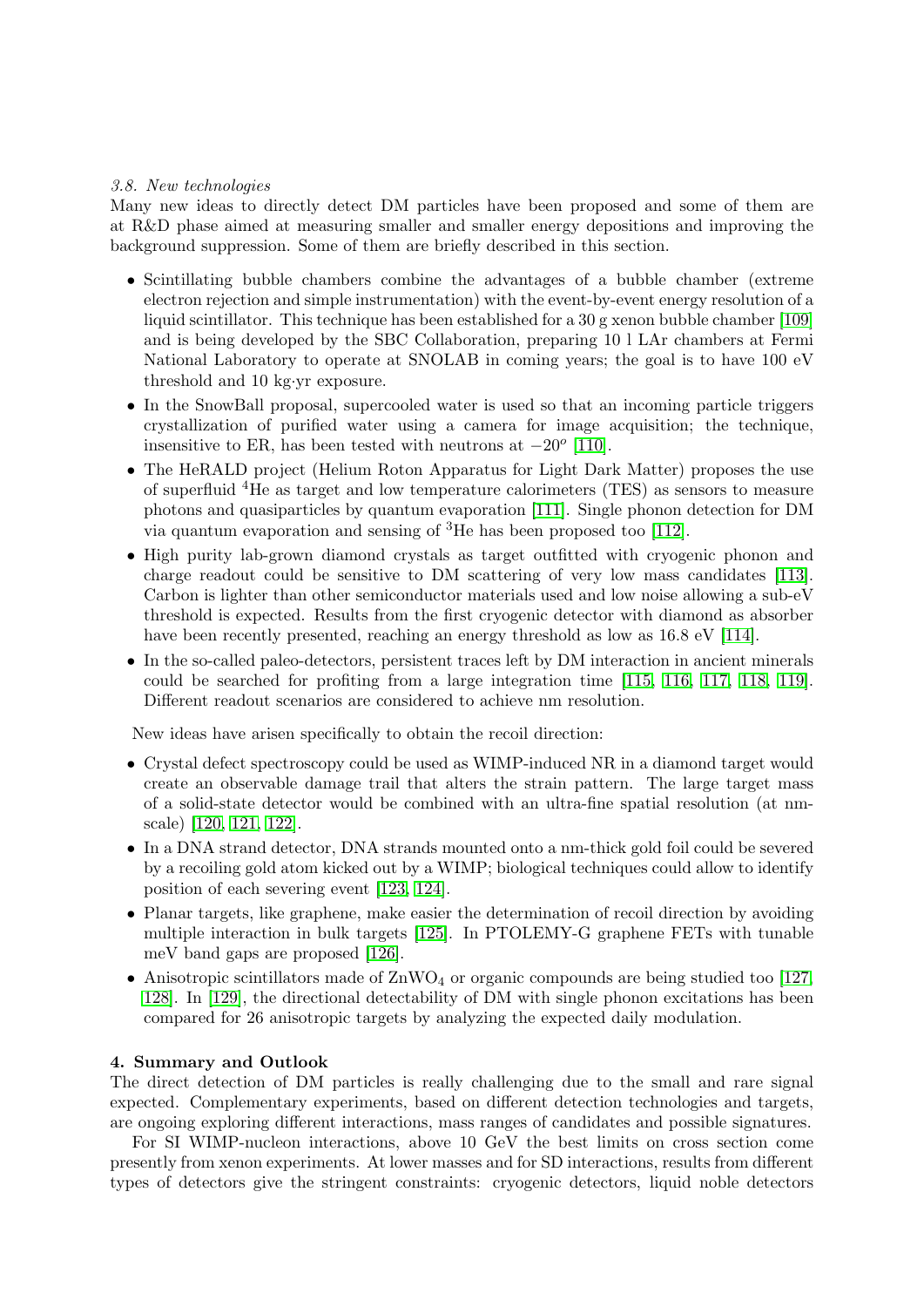# 3.8. New technologies

Many new ideas to directly detect DM particles have been proposed and some of them are at R&D phase aimed at measuring smaller and smaller energy depositions and improving the background suppression. Some of them are briefly described in this section.

- Scintillating bubble chambers combine the advantages of a bubble chamber (extreme electron rejection and simple instrumentation) with the event-by-event energy resolution of a liquid scintillator. This technique has been established for a 30 g xenon bubble chamber [\[109\]](#page-11-23) and is being developed by the SBC Collaboration, preparing 10 l LAr chambers at Fermi National Laboratory to operate at SNOLAB in coming years; the goal is to have 100 eV threshold and 10 kg·yr exposure.
- In the SnowBall proposal, supercooled water is used so that an incoming particle triggers crystallization of purified water using a camera for image acquisition; the technique, insensitive to ER, has been tested with neutrons at  $-20^{\circ}$  [\[110\]](#page-11-24).
- The HeRALD project (Helium Roton Apparatus for Light Dark Matter) proposes the use of superfluid <sup>4</sup>He as target and low temperature calorimeters (TES) as sensors to measure photons and quasiparticles by quantum evaporation [\[111\]](#page-11-25). Single phonon detection for DM via quantum evaporation and sensing of  ${}^{3}$ He has been proposed too [\[112\]](#page-11-26).
- High purity lab-grown diamond crystals as target outfitted with cryogenic phonon and charge readout could be sensitive to DM scattering of very low mass candidates [\[113\]](#page-11-27). Carbon is lighter than other semiconductor materials used and low noise allowing a sub-eV threshold is expected. Results from the first cryogenic detector with diamond as absorber have been recently presented, reaching an energy threshold as low as  $16.8 \text{ eV}$  [\[114\]](#page-11-28).
- In the so-called paleo-detectors, persistent traces left by DM interaction in ancient minerals could be searched for profiting from a large integration time [\[115,](#page-11-29) [116,](#page-11-30) [117,](#page-11-31) [118,](#page-11-32) [119\]](#page-11-33). Different readout scenarios are considered to achieve nm resolution.

New ideas have arisen specifically to obtain the recoil direction:

- Crystal defect spectroscopy could be used as WIMP-induced NR in a diamond target would create an observable damage trail that alters the strain pattern. The large target mass of a solid-state detector would be combined with an ultra-fine spatial resolution (at nmscale) [\[120,](#page-11-34) [121,](#page-11-35) [122\]](#page-11-36).
- In a DNA strand detector, DNA strands mounted onto a nm-thick gold foil could be severed by a recoiling gold atom kicked out by a WIMP; biological techniques could allow to identify position of each severing event [\[123,](#page-11-37) [124\]](#page-11-38).
- Planar targets, like graphene, make easier the determination of recoil direction by avoiding multiple interaction in bulk targets [\[125\]](#page-11-39). In PTOLEMY-G graphene FETs with tunable meV band gaps are proposed [\[126\]](#page-11-40).
- Anisotropic scintillators made of  $\text{ZnWO}_4$  or organic compounds are being studied too [\[127,](#page-11-41) [128\]](#page-11-42). In [\[129\]](#page-11-43), the directional detectability of DM with single phonon excitations has been compared for 26 anisotropic targets by analyzing the expected daily modulation.

# 4. Summary and Outlook

The direct detection of DM particles is really challenging due to the small and rare signal expected. Complementary experiments, based on different detection technologies and targets, are ongoing exploring different interactions, mass ranges of candidates and possible signatures.

For SI WIMP-nucleon interactions, above 10 GeV the best limits on cross section come presently from xenon experiments. At lower masses and for SD interactions, results from different types of detectors give the stringent constraints: cryogenic detectors, liquid noble detectors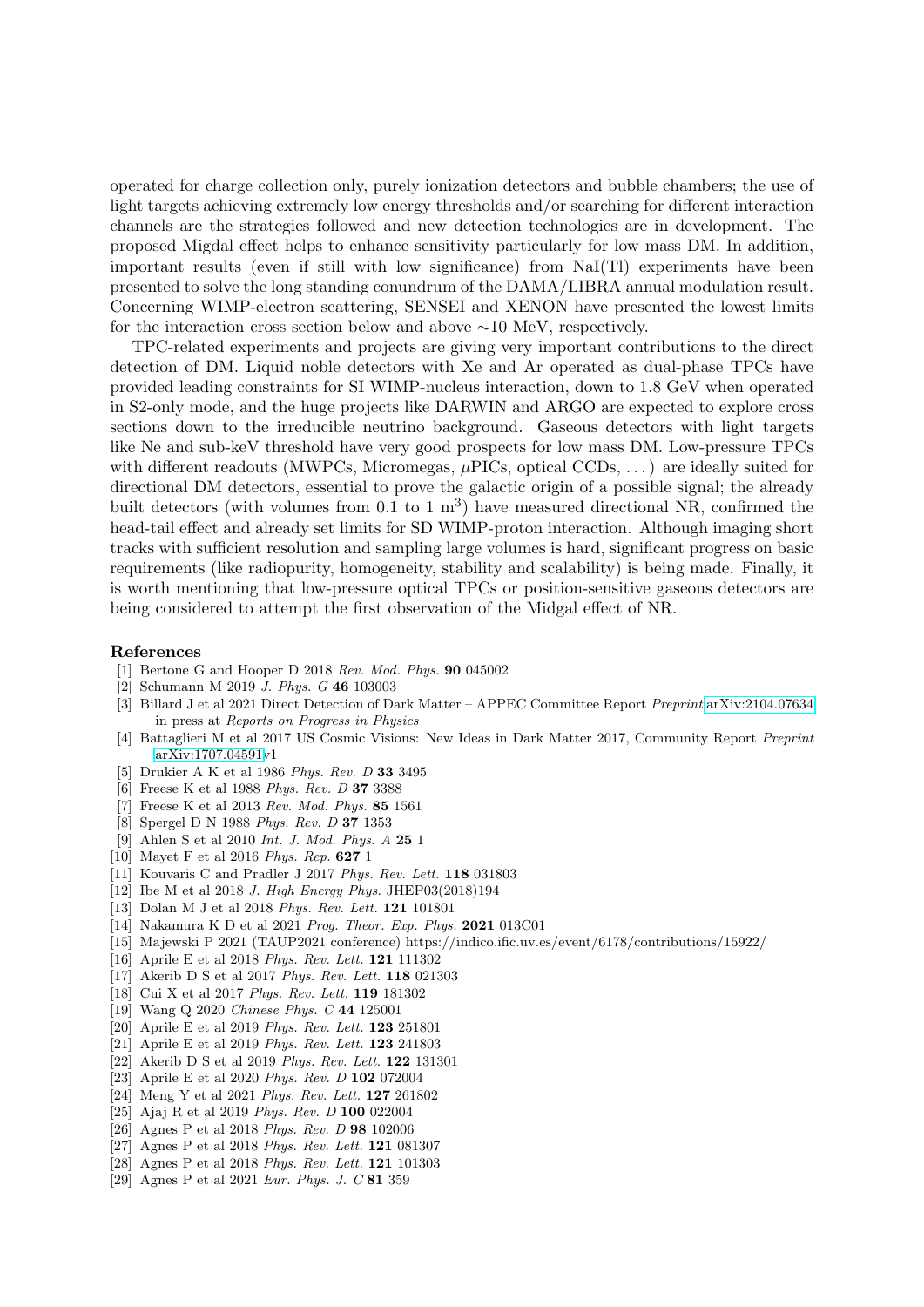operated for charge collection only, purely ionization detectors and bubble chambers; the use of light targets achieving extremely low energy thresholds and/or searching for different interaction channels are the strategies followed and new detection technologies are in development. The proposed Migdal effect helps to enhance sensitivity particularly for low mass DM. In addition, important results (even if still with low significance) from NaI(Tl) experiments have been presented to solve the long standing conundrum of the DAMA/LIBRA annual modulation result. Concerning WIMP-electron scattering, SENSEI and XENON have presented the lowest limits for the interaction cross section below and above ∼10 MeV, respectively.

TPC-related experiments and projects are giving very important contributions to the direct detection of DM. Liquid noble detectors with Xe and Ar operated as dual-phase TPCs have provided leading constraints for SI WIMP-nucleus interaction, down to 1.8 GeV when operated in S2-only mode, and the huge projects like DARWIN and ARGO are expected to explore cross sections down to the irreducible neutrino background. Gaseous detectors with light targets like Ne and sub-keV threshold have very good prospects for low mass DM. Low-pressure TPCs with different readouts (MWPCs, Micromegas,  $\mu$ PICs, optical CCDs, ...) are ideally suited for directional DM detectors, essential to prove the galactic origin of a possible signal; the already built detectors (with volumes from  $0.1$  to  $1 \text{ m}^3$ ) have measured directional NR, confirmed the head-tail effect and already set limits for SD WIMP-proton interaction. Although imaging short tracks with sufficient resolution and sampling large volumes is hard, significant progress on basic requirements (like radiopurity, homogeneity, stability and scalability) is being made. Finally, it is worth mentioning that low-pressure optical TPCs or position-sensitive gaseous detectors are being considered to attempt the first observation of the Midgal effect of NR.

#### References

- <span id="page-9-0"></span>[1] Bertone G and Hooper D 2018 Rev. Mod. Phys. 90 045002
- <span id="page-9-1"></span>[2] Schumann M 2019 J. Phys. G 46 103003
- <span id="page-9-2"></span>[3] Billard J et al 2021 Direct Detection of Dark Matter – APPEC Committee Report Preprint [arXiv:2104.07634](http://arxiv.org/abs/2104.07634) in press at Reports on Progress in Physics
- <span id="page-9-3"></span>[4] Battaglieri M et al 2017 US Cosmic Visions: New Ideas in Dark Matter 2017, Community Report Preprint [arXiv:1707.04591v](http://arxiv.org/abs/1707.04591)1
- <span id="page-9-4"></span>[5] Drukier A K et al 1986 Phys. Rev. D 33 3495
- <span id="page-9-5"></span>[6] Freese K et al 1988 Phys. Rev. D 37 3388
- <span id="page-9-6"></span>[7] Freese K et al 2013 Rev. Mod. Phys. 85 1561
- <span id="page-9-7"></span>[8] Spergel D N 1988 Phys. Rev. D 37 1353
- <span id="page-9-8"></span>[9] Ahlen S et al 2010 Int. J. Mod. Phys. A 25 1
- <span id="page-9-9"></span>[10] Mayet F et al 2016 Phys. Rep. 627 1
- <span id="page-9-10"></span>[11] Kouvaris C and Pradler J 2017 Phys. Rev. Lett. **118** 031803
- <span id="page-9-11"></span>[12] Ibe M et al 2018 J. High Energy Phys. JHEP03(2018)194
- <span id="page-9-12"></span>[13] Dolan M J et al 2018 Phys. Rev. Lett. **121** 101801
- <span id="page-9-13"></span>[14] Nakamura K D et al 2021 Prog. Theor. Exp. Phys. 2021 013C01
- <span id="page-9-14"></span>[15] Majewski P 2021 (TAUP2021 conference) https://indico.ific.uv.es/event/6178/contributions/15922/
- <span id="page-9-15"></span>[16] Aprile E et al 2018 Phys. Rev. Lett. 121 111302
- <span id="page-9-16"></span>[17] Akerib D S et al 2017 Phys. Rev. Lett. 118 021303
- <span id="page-9-17"></span>[18] Cui X et al 2017 Phys. Rev. Lett. 119 181302
- <span id="page-9-18"></span>[19] Wang Q 2020 Chinese Phys. C 44 125001
- <span id="page-9-19"></span>[20] Aprile E et al 2019 Phys. Rev. Lett. 123 251801
- <span id="page-9-20"></span>[21] Aprile E et al 2019 Phys. Rev. Lett. 123 241803
- <span id="page-9-21"></span>[22] Akerib D S et al 2019 Phys. Rev. Lett. 122 131301
- <span id="page-9-22"></span>[23] Aprile E et al 2020 Phys. Rev. D 102 072004
- <span id="page-9-23"></span>[24] Meng Y et al 2021 Phys. Rev. Lett. 127 261802
- <span id="page-9-24"></span>[25] Ajaj R et al 2019 Phys. Rev. D 100 022004
- <span id="page-9-25"></span>[26] Agnes P et al 2018 Phys. Rev. D 98 102006
- <span id="page-9-26"></span>[27] Agnes P et al 2018 Phys. Rev. Lett. 121 081307
- <span id="page-9-27"></span>[28] Agnes P et al 2018 Phys. Rev. Lett. 121 101303
- <span id="page-9-28"></span>[29] Agnes P et al 2021 Eur. Phys. J. C 81 359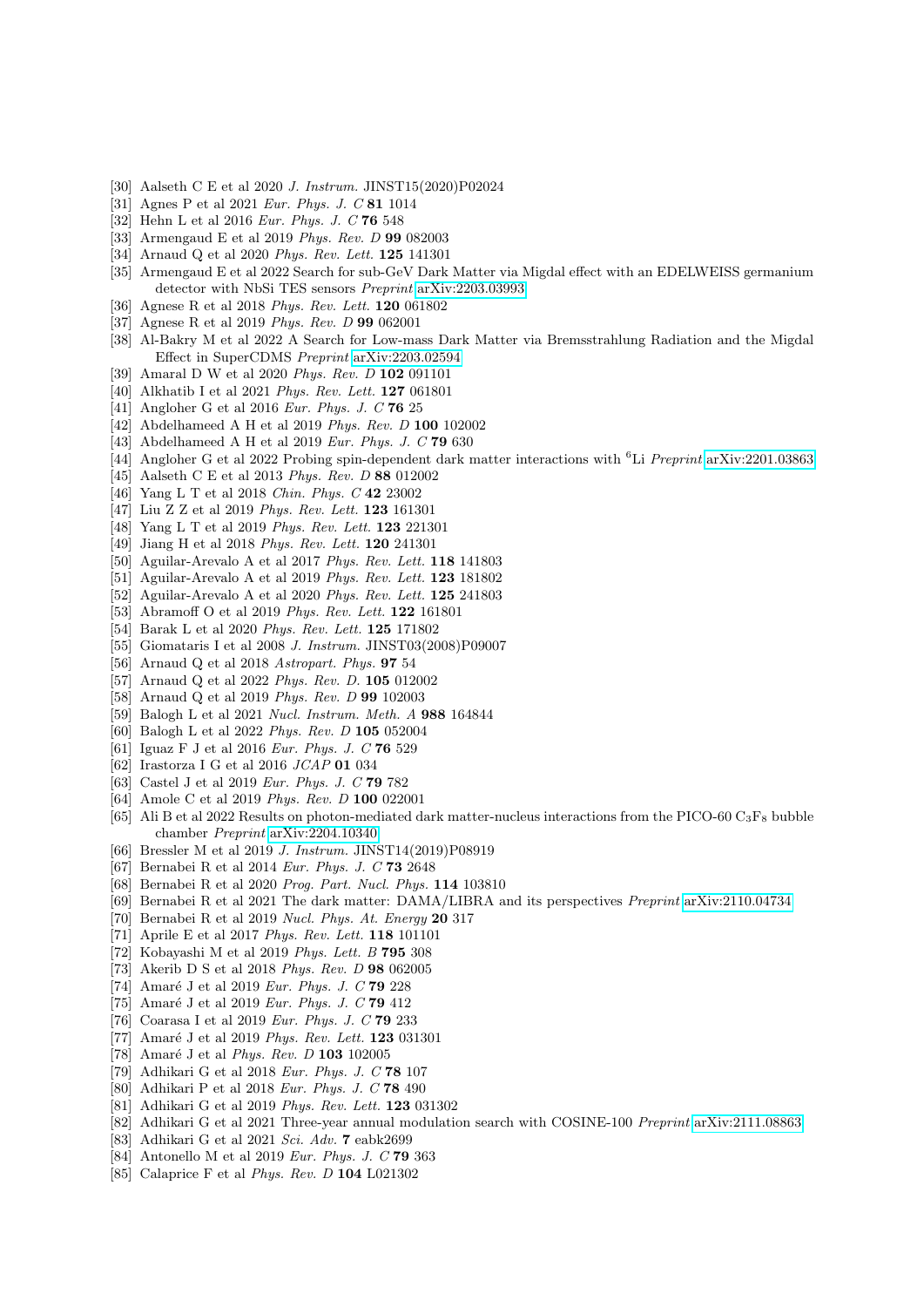- <span id="page-10-0"></span>[30] Aalseth C E et al 2020 J. Instrum. JINST15(2020)P02024
- <span id="page-10-1"></span>[31] Agnes P et al 2021 Eur. Phys. J. C 81 1014
- <span id="page-10-2"></span>[32] Hehn L et al 2016 Eur. Phys. J. C 76 548
- <span id="page-10-3"></span>[33] Armengaud E et al 2019 Phys. Rev. D 99 082003
- <span id="page-10-4"></span>[34] Arnaud Q et al 2020 Phys. Rev. Lett. 125 141301
- <span id="page-10-5"></span>[35] Armengaud E et al 2022 Search for sub-GeV Dark Matter via Migdal effect with an EDELWEISS germanium detector with NbSi TES sensors Preprint [arXiv:2203.03993](http://arxiv.org/abs/2203.03993)
- <span id="page-10-6"></span>[36] Agnese R et al 2018 Phys. Rev. Lett. 120 061802
- <span id="page-10-7"></span>[37] Agnese R et al 2019 Phys. Rev. D 99 062001
- <span id="page-10-8"></span>[38] Al-Bakry M et al 2022 A Search for Low-mass Dark Matter via Bremsstrahlung Radiation and the Migdal Effect in SuperCDMS Preprint [arXiv:2203.02594](http://arxiv.org/abs/2203.02594)
- <span id="page-10-9"></span>[39] Amaral D W et al 2020 Phys. Rev. D 102 091101
- <span id="page-10-10"></span>[40] Alkhatib I et al 2021 Phys. Rev. Lett. 127 061801
- <span id="page-10-11"></span>[41] Angloher G et al 2016 *Eur. Phys. J. C* **76** 25
- <span id="page-10-12"></span>[42] Abdelhameed A H et al 2019 Phys. Rev. D 100 102002
- <span id="page-10-13"></span>[43] Abdelhameed A H et al 2019 Eur. Phys. J. C **79** 630
- <span id="page-10-14"></span>[44] Angloher G et al 2022 Probing spin-dependent dark matter interactions with <sup>6</sup>Li *Preprint* [arXiv:2201.03863](http://arxiv.org/abs/2201.03863)
- <span id="page-10-15"></span>[45] Aalseth C E et al 2013 Phys. Rev. D 88 012002
- <span id="page-10-16"></span>[46] Yang L T et al 2018 Chin. Phys. C 42 23002
- <span id="page-10-17"></span>[47] Liu Z Z et al 2019 Phys. Rev. Lett. **123** 161301
- <span id="page-10-18"></span>[48] Yang L T et al 2019 Phys. Rev. Lett. **123** 221301
- <span id="page-10-19"></span>[49] Jiang H et al 2018 Phys. Rev. Lett. 120 241301
- <span id="page-10-20"></span>[50] Aguilar-Arevalo A et al 2017 Phys. Rev. Lett. 118 141803
- <span id="page-10-21"></span>[51] Aguilar-Arevalo A et al 2019 Phys. Rev. Lett. 123 181802
- <span id="page-10-22"></span>[52] Aguilar-Arevalo A et al 2020 Phys. Rev. Lett. 125 241803
- <span id="page-10-23"></span>[53] Abramoff O et al 2019 Phys. Rev. Lett. 122 161801
- <span id="page-10-24"></span>[54] Barak L et al 2020 Phys. Rev. Lett. 125 171802
- <span id="page-10-25"></span>[55] Giomataris I et al 2008 J. Instrum. JINST03(2008)P09007
- <span id="page-10-26"></span>[56] Arnaud Q et al 2018 Astropart. Phys. 97 54
- <span id="page-10-27"></span>[57] Arnaud Q et al 2022 Phys. Rev. D. 105 012002
- <span id="page-10-28"></span>[58] Arnaud Q et al 2019 Phys. Rev. D 99 102003
- <span id="page-10-29"></span>[59] Balogh L et al 2021 Nucl. Instrum. Meth. A 988 164844
- <span id="page-10-30"></span>[60] Balogh L et al 2022 Phys. Rev. D 105 052004
- <span id="page-10-31"></span>[61] Iguaz F J et al 2016 Eur. Phys. J. C 76 529
- <span id="page-10-32"></span>[62] Irastorza I G et al 2016 JCAP 01 034
- <span id="page-10-33"></span>[63] Castel J et al 2019 Eur. Phys. J. C 79 782
- <span id="page-10-34"></span>[64] Amole C et al 2019 Phys. Rev. D 100 022001
- <span id="page-10-35"></span>[65] Ali B et al 2022 Results on photon-mediated dark matter-nucleus interactions from the PICO-60  $C_3F_8$  bubble chamber Preprint [arXiv:2204.10340](http://arxiv.org/abs/2204.10340)
- <span id="page-10-36"></span>[66] Bressler M et al 2019 J. Instrum. JINST14(2019)P08919
- <span id="page-10-40"></span>[67] Bernabei R et al 2014 Eur. Phys. J. C 73 2648
- <span id="page-10-41"></span>[68] Bernabei R et al 2020 Prog. Part. Nucl. Phys. 114 103810
- <span id="page-10-37"></span>[69] Bernabei R et al 2021 The dark matter: DAMA/LIBRA and its perspectives Preprint [arXiv:2110.04734](http://arxiv.org/abs/2110.04734)
- <span id="page-10-42"></span>[70] Bernabei R et al 2019 Nucl. Phys. At. Energy 20 317
- <span id="page-10-43"></span>[71] Aprile E et al 2017 Phys. Rev. Lett. 118 101101
- <span id="page-10-44"></span>[72] Kobayashi M et al 2019 Phys. Lett. B 795 308
- <span id="page-10-45"></span>[73] Akerib D S et al 2018 Phys. Rev. D 98 062005
- <span id="page-10-46"></span>[74] Amaré J et al 2019 Eur. Phys. J. C  $79\ 228$
- <span id="page-10-47"></span>[75] Amaré J et al 2019 Eur. Phys. J. C  $79\;412$
- <span id="page-10-48"></span>[76] Coarasa I et al 2019 Eur. Phys. J. C **79** 233
- <span id="page-10-49"></span>[77] Amaré J et al 2019 Phys. Rev. Lett.  $123$  031301
- <span id="page-10-38"></span>[78] Amaré J et al Phys. Rev.  $D$  103 102005
- <span id="page-10-50"></span>[79] Adhikari G et al 2018 Eur. Phys. J. C 78 107
- <span id="page-10-51"></span>[80] Adhikari P et al 2018 Eur. Phys. J. C 78 490
- <span id="page-10-52"></span>[81] Adhikari G et al 2019 Phys. Rev. Lett. 123 031302
- <span id="page-10-39"></span>[82] Adhikari G et al 2021 Three-year annual modulation search with COSINE-100 Preprint [arXiv:2111.08863](http://arxiv.org/abs/2111.08863)
- <span id="page-10-53"></span>[83] Adhikari G et al 2021 Sci. Adv. 7 eabk2699
- <span id="page-10-54"></span>[84] Antonello M et al 2019 Eur. Phys. J. C 79 363
- <span id="page-10-55"></span>[85] Calaprice F et al Phys. Rev. D 104 L021302